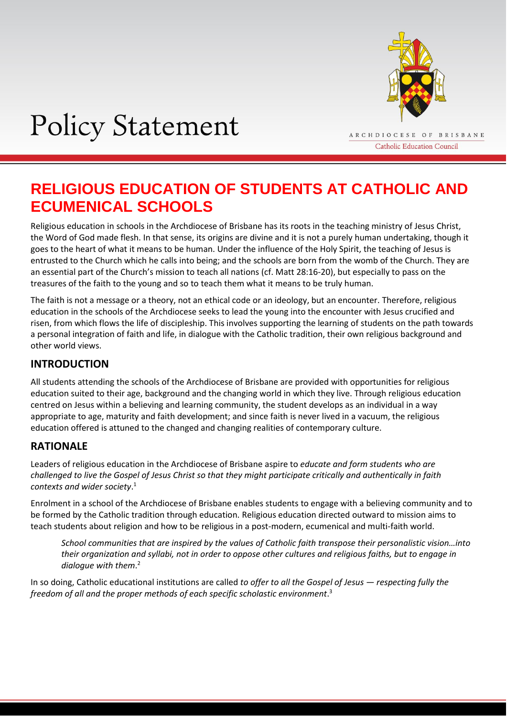

# **Policy Statement**

ARCHDIOCESE OF BRISBANE **Catholic Education Council** 

# **RELIGIOUS EDUCATION OF STUDENTS AT CATHOLIC AND ECUMENICAL SCHOOLS**

Religious education in schools in the Archdiocese of Brisbane has its roots in the teaching ministry of Jesus Christ, the Word of God made flesh. In that sense, its origins are divine and it is not a purely human undertaking, though it goes to the heart of what it means to be human. Under the influence of the Holy Spirit, the teaching of Jesus is entrusted to the Church which he calls into being; and the schools are born from the womb of the Church. They are an essential part of the Church's mission to teach all nations (cf. Matt 28:16-20), but especially to pass on the treasures of the faith to the young and so to teach them what it means to be truly human.

The faith is not a message or a theory, not an ethical code or an ideology, but an encounter. Therefore, religious education in the schools of the Archdiocese seeks to lead the young into the encounter with Jesus crucified and risen, from which flows the life of discipleship. This involves supporting the learning of students on the path towards a personal integration of faith and life, in dialogue with the Catholic tradition, their own religious background and other world views.

### **INTRODUCTION**

All students attending the schools of the Archdiocese of Brisbane are provided with opportunities for religious education suited to their age, background and the changing world in which they live. Through religious education centred on Jesus within a believing and learning community, the student develops as an individual in a way appropriate to age, maturity and faith development; and since faith is never lived in a vacuum, the religious education offered is attuned to the changed and changing realities of contemporary culture.

#### **RATIONALE**

Leaders of religious education in the Archdiocese of Brisbane aspire to *educate and form students who are challenged to live the Gospel of Jesus Christ so that they might participate critically and authentically in faith contexts and wider society*. 1

Enrolment in a school of the Archdiocese of Brisbane enables students to engage with a believing community and to be formed by the Catholic tradition through education. Religious education directed outward to mission aims to teach students about religion and how to be religious in a post-modern, ecumenical and multi-faith world.

*School communities that are inspired by the values of Catholic faith transpose their personalistic vision…into their organization and syllabi, not in order to oppose other cultures and religious faiths, but to engage in dialogue with them*. 2

In so doing, Catholic educational institutions are called *to offer to all the Gospel of Jesus — respecting fully the freedom of all and the proper methods of each specific scholastic environment*. 3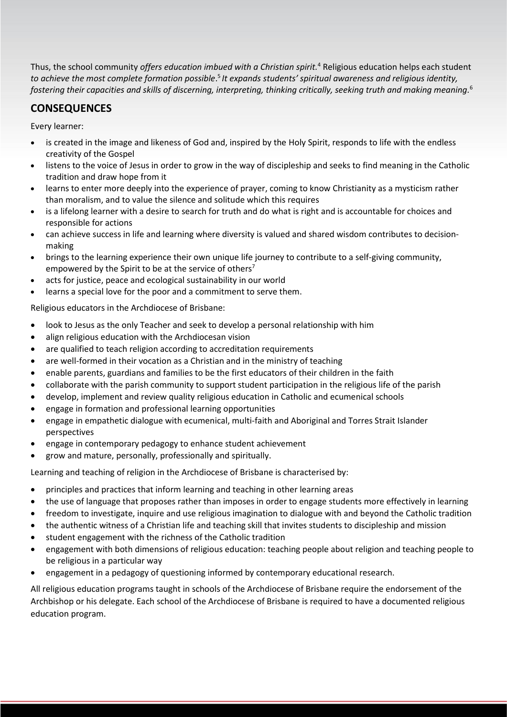Thus, the school community *offers education imbued with a Christian spirit.*<sup>4</sup> Religious education helps each student *to achieve the most complete formation possible*. 5 *It expands students' spiritual awareness and religious identity, fostering their capacities and skills of discerning, interpreting, thinking critically, seeking truth and making meaning.* 6

## **CONSEQUENCES**

Every learner:

- is created in the image and likeness of God and, inspired by the Holy Spirit, responds to life with the endless creativity of the Gospel
- listens to the voice of Jesus in order to grow in the way of discipleship and seeks to find meaning in the Catholic tradition and draw hope from it
- learns to enter more deeply into the experience of prayer, coming to know Christianity as a mysticism rather than moralism, and to value the silence and solitude which this requires
- is a lifelong learner with a desire to search for truth and do what is right and is accountable for choices and responsible for actions
- can achieve success in life and learning where diversity is valued and shared wisdom contributes to decisionmaking
- brings to the learning experience their own unique life journey to contribute to a self-giving community, empowered by the Spirit to be at the service of others<sup>7</sup>
- acts for justice, peace and ecological sustainability in our world
- learns a special love for the poor and a commitment to serve them.

Religious educators in the Archdiocese of Brisbane:

- look to Jesus as the only Teacher and seek to develop a personal relationship with him
- align religious education with the Archdiocesan vision
- are qualified to teach religion according to accreditation requirements
- are well-formed in their vocation as a Christian and in the ministry of teaching
- enable parents, guardians and families to be the first educators of their children in the faith
- collaborate with the parish community to support student participation in the religious life of the parish
- develop, implement and review quality religious education in Catholic and ecumenical schools
- engage in formation and professional learning opportunities
- engage in empathetic dialogue with ecumenical, multi-faith and Aboriginal and Torres Strait Islander perspectives
- engage in contemporary pedagogy to enhance student achievement
- grow and mature, personally, professionally and spiritually.

Learning and teaching of religion in the Archdiocese of Brisbane is characterised by:

- principles and practices that inform learning and teaching in other learning areas
- the use of language that proposes rather than imposes in order to engage students more effectively in learning
- freedom to investigate, inquire and use religious imagination to dialogue with and beyond the Catholic tradition
- the authentic witness of a Christian life and teaching skill that invites students to discipleship and mission
- student engagement with the richness of the Catholic tradition
- engagement with both dimensions of religious education: teaching people about religion and teaching people to be religious in a particular way
- engagement in a pedagogy of questioning informed by contemporary educational research.

All religious education programs taught in schools of the Archdiocese of Brisbane require the endorsement of the Archbishop or his delegate. Each school of the Archdiocese of Brisbane is required to have a documented religious education program.